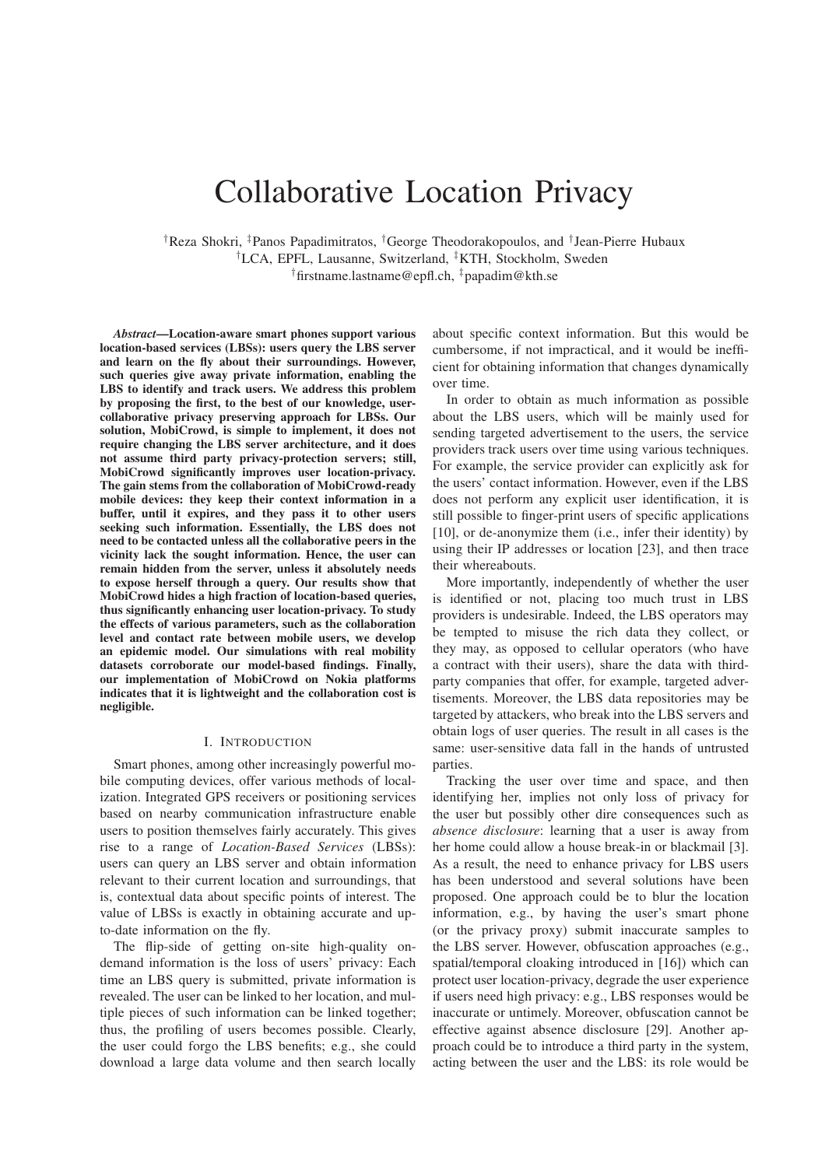# Collaborative Location Privacy

†Reza Shokri, ‡Panos Papadimitratos, †George Theodorakopoulos, and † Jean-Pierre Hubaux †LCA, EPFL, Lausanne, Switzerland, ‡KTH, Stockholm, Sweden †firstname.lastname@epfl.ch, ‡papadim@kth.se

*Abstract***—Location-aware smart phones support various location-based services (LBSs): users query the LBS server and learn on the fly about their surroundings. However, such queries give away private information, enabling the LBS to identify and track users. We address this problem by proposing the first, to the best of our knowledge, usercollaborative privacy preserving approach for LBSs. Our solution, MobiCrowd, is simple to implement, it does not require changing the LBS server architecture, and it does not assume third party privacy-protection servers; still, MobiCrowd significantly improves user location-privacy. The gain stems from the collaboration of MobiCrowd-ready mobile devices: they keep their context information in a buffer, until it expires, and they pass it to other users seeking such information. Essentially, the LBS does not need to be contacted unless all the collaborative peers in the vicinity lack the sought information. Hence, the user can remain hidden from the server, unless it absolutely needs to expose herself through a query. Our results show that MobiCrowd hides a high fraction of location-based queries, thus significantly enhancing user location-privacy. To study the effects of various parameters, such as the collaboration level and contact rate between mobile users, we develop an epidemic model. Our simulations with real mobility datasets corroborate our model-based findings. Finally, our implementation of MobiCrowd on Nokia platforms indicates that it is lightweight and the collaboration cost is negligible.**

# I. INTRODUCTION

Smart phones, among other increasingly powerful mobile computing devices, offer various methods of localization. Integrated GPS receivers or positioning services based on nearby communication infrastructure enable users to position themselves fairly accurately. This gives rise to a range of *Location-Based Services* (LBSs): users can query an LBS server and obtain information relevant to their current location and surroundings, that is, contextual data about specific points of interest. The value of LBSs is exactly in obtaining accurate and upto-date information on the fly.

The flip-side of getting on-site high-quality ondemand information is the loss of users' privacy: Each time an LBS query is submitted, private information is revealed. The user can be linked to her location, and multiple pieces of such information can be linked together; thus, the profiling of users becomes possible. Clearly, the user could forgo the LBS benefits; e.g., she could download a large data volume and then search locally

about specific context information. But this would be cumbersome, if not impractical, and it would be inefficient for obtaining information that changes dynamically over time.

In order to obtain as much information as possible about the LBS users, which will be mainly used for sending targeted advertisement to the users, the service providers track users over time using various techniques. For example, the service provider can explicitly ask for the users' contact information. However, even if the LBS does not perform any explicit user identification, it is still possible to finger-print users of specific applications [10], or de-anonymize them (i.e., infer their identity) by using their IP addresses or location [23], and then trace their whereabouts.

More importantly, independently of whether the user is identified or not, placing too much trust in LBS providers is undesirable. Indeed, the LBS operators may be tempted to misuse the rich data they collect, or they may, as opposed to cellular operators (who have a contract with their users), share the data with thirdparty companies that offer, for example, targeted advertisements. Moreover, the LBS data repositories may be targeted by attackers, who break into the LBS servers and obtain logs of user queries. The result in all cases is the same: user-sensitive data fall in the hands of untrusted parties.

Tracking the user over time and space, and then identifying her, implies not only loss of privacy for the user but possibly other dire consequences such as *absence disclosure*: learning that a user is away from her home could allow a house break-in or blackmail [3]. As a result, the need to enhance privacy for LBS users has been understood and several solutions have been proposed. One approach could be to blur the location information, e.g., by having the user's smart phone (or the privacy proxy) submit inaccurate samples to the LBS server. However, obfuscation approaches (e.g., spatial/temporal cloaking introduced in [16]) which can protect user location-privacy, degrade the user experience if users need high privacy: e.g., LBS responses would be inaccurate or untimely. Moreover, obfuscation cannot be effective against absence disclosure [29]. Another approach could be to introduce a third party in the system, acting between the user and the LBS: its role would be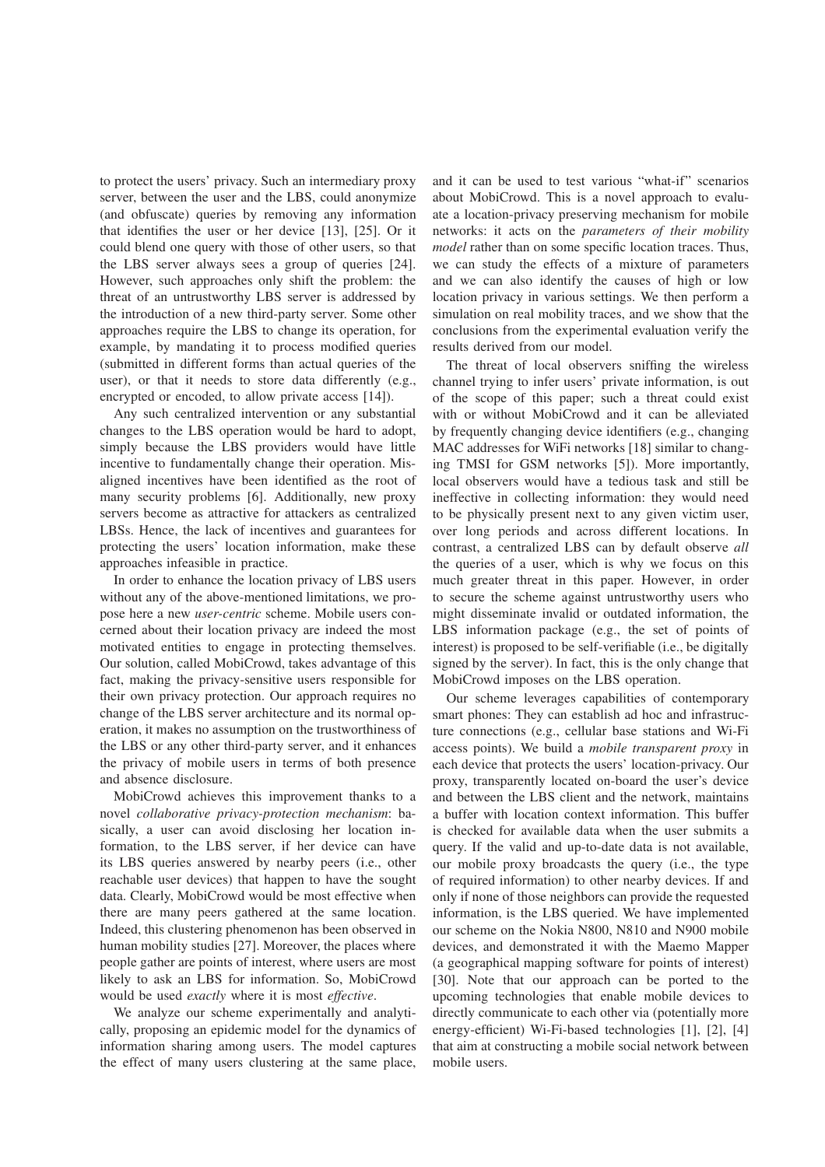to protect the users' privacy. Such an intermediary proxy server, between the user and the LBS, could anonymize (and obfuscate) queries by removing any information that identifies the user or her device [13], [25]. Or it could blend one query with those of other users, so that the LBS server always sees a group of queries [24]. However, such approaches only shift the problem: the threat of an untrustworthy LBS server is addressed by the introduction of a new third-party server. Some other approaches require the LBS to change its operation, for example, by mandating it to process modified queries (submitted in different forms than actual queries of the user), or that it needs to store data differently (e.g., encrypted or encoded, to allow private access [14]).

Any such centralized intervention or any substantial changes to the LBS operation would be hard to adopt, simply because the LBS providers would have little incentive to fundamentally change their operation. Misaligned incentives have been identified as the root of many security problems [6]. Additionally, new proxy servers become as attractive for attackers as centralized LBSs. Hence, the lack of incentives and guarantees for protecting the users' location information, make these approaches infeasible in practice.

In order to enhance the location privacy of LBS users without any of the above-mentioned limitations, we propose here a new *user-centric* scheme. Mobile users concerned about their location privacy are indeed the most motivated entities to engage in protecting themselves. Our solution, called MobiCrowd, takes advantage of this fact, making the privacy-sensitive users responsible for their own privacy protection. Our approach requires no change of the LBS server architecture and its normal operation, it makes no assumption on the trustworthiness of the LBS or any other third-party server, and it enhances the privacy of mobile users in terms of both presence and absence disclosure.

MobiCrowd achieves this improvement thanks to a novel *collaborative privacy-protection mechanism*: basically, a user can avoid disclosing her location information, to the LBS server, if her device can have its LBS queries answered by nearby peers (i.e., other reachable user devices) that happen to have the sought data. Clearly, MobiCrowd would be most effective when there are many peers gathered at the same location. Indeed, this clustering phenomenon has been observed in human mobility studies [27]. Moreover, the places where people gather are points of interest, where users are most likely to ask an LBS for information. So, MobiCrowd would be used *exactly* where it is most *effective*.

We analyze our scheme experimentally and analytically, proposing an epidemic model for the dynamics of information sharing among users. The model captures the effect of many users clustering at the same place, and it can be used to test various "what-if" scenarios about MobiCrowd. This is a novel approach to evaluate a location-privacy preserving mechanism for mobile networks: it acts on the *parameters of their mobility model* rather than on some specific location traces. Thus, we can study the effects of a mixture of parameters and we can also identify the causes of high or low location privacy in various settings. We then perform a simulation on real mobility traces, and we show that the conclusions from the experimental evaluation verify the results derived from our model.

The threat of local observers sniffing the wireless channel trying to infer users' private information, is out of the scope of this paper; such a threat could exist with or without MobiCrowd and it can be alleviated by frequently changing device identifiers (e.g., changing MAC addresses for WiFi networks [18] similar to changing TMSI for GSM networks [5]). More importantly, local observers would have a tedious task and still be ineffective in collecting information: they would need to be physically present next to any given victim user, over long periods and across different locations. In contrast, a centralized LBS can by default observe *all* the queries of a user, which is why we focus on this much greater threat in this paper. However, in order to secure the scheme against untrustworthy users who might disseminate invalid or outdated information, the LBS information package (e.g., the set of points of interest) is proposed to be self-verifiable (i.e., be digitally signed by the server). In fact, this is the only change that MobiCrowd imposes on the LBS operation.

Our scheme leverages capabilities of contemporary smart phones: They can establish ad hoc and infrastructure connections (e.g., cellular base stations and Wi-Fi access points). We build a *mobile transparent proxy* in each device that protects the users' location-privacy. Our proxy, transparently located on-board the user's device and between the LBS client and the network, maintains a buffer with location context information. This buffer is checked for available data when the user submits a query. If the valid and up-to-date data is not available, our mobile proxy broadcasts the query (i.e., the type of required information) to other nearby devices. If and only if none of those neighbors can provide the requested information, is the LBS queried. We have implemented our scheme on the Nokia N800, N810 and N900 mobile devices, and demonstrated it with the Maemo Mapper (a geographical mapping software for points of interest) [30]. Note that our approach can be ported to the upcoming technologies that enable mobile devices to directly communicate to each other via (potentially more energy-efficient) Wi-Fi-based technologies [1], [2], [4] that aim at constructing a mobile social network between mobile users.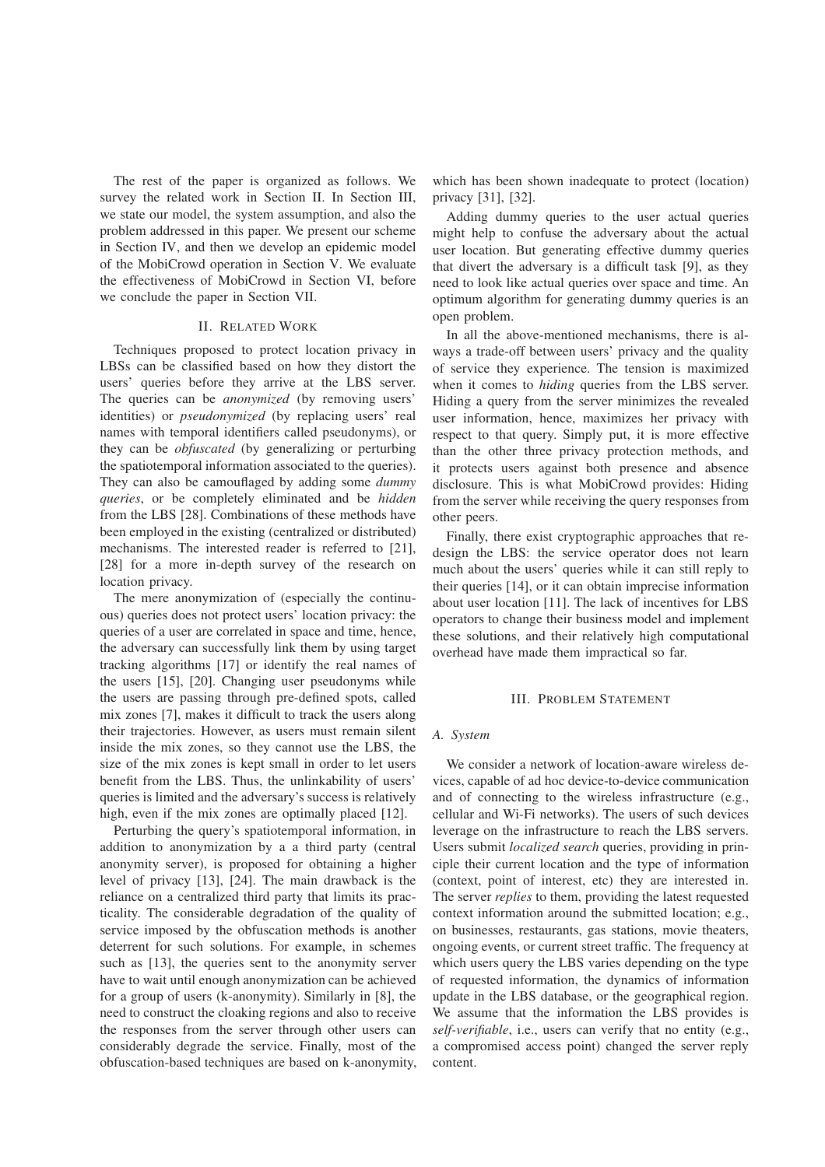The rest of the paper is organized as follows. We survey the related work in Section II. In Section III, we state our model, the system assumption, and also the problem addressed in this paper. We present our scheme in Section IV, and then we develop an epidemic model of the MobiCrowd operation in Section V. We evaluate the effectiveness of MobiCrowd in Section VI, before we conclude the paper in Section VII.

# II. RELATED WORK

Techniques proposed to protect location privacy in LBSs can be classified based on how they distort the users' queries before they arrive at the LBS server. The queries can be *anonymized* (by removing users' identities) or *pseudonymized* (by replacing users' real names with temporal identifiers called pseudonyms), or they can be *obfuscated* (by generalizing or perturbing the spatiotemporal information associated to the queries). They can also be camouflaged by adding some *dummy queries*, or be completely eliminated and be *hidden* from the LBS [28]. Combinations of these methods have been employed in the existing (centralized or distributed) mechanisms. The interested reader is referred to [21], [28] for a more in-depth survey of the research on location privacy.

The mere anonymization of (especially the continuous) queries does not protect users' location privacy: the queries of a user are correlated in space and time, hence, the adversary can successfully link them by using target tracking algorithms [17] or identify the real names of the users [15], [20]. Changing user pseudonyms while the users are passing through pre-defined spots, called mix zones [7], makes it difficult to track the users along their trajectories. However, as users must remain silent inside the mix zones, so they cannot use the LBS, the size of the mix zones is kept small in order to let users benefit from the LBS. Thus, the unlinkability of users' queries is limited and the adversary's success is relatively high, even if the mix zones are optimally placed [12].

Perturbing the query's spatiotemporal information, in addition to anonymization by a a third party (central anonymity server), is proposed for obtaining a higher level of privacy [13], [24]. The main drawback is the reliance on a centralized third party that limits its practicality. The considerable degradation of the quality of service imposed by the obfuscation methods is another deterrent for such solutions. For example, in schemes such as [13], the queries sent to the anonymity server have to wait until enough anonymization can be achieved for a group of users (k-anonymity). Similarly in [8], the need to construct the cloaking regions and also to receive the responses from the server through other users can considerably degrade the service. Finally, most of the obfuscation-based techniques are based on k-anonymity, which has been shown inadequate to protect (location) privacy [31], [32].

Adding dummy queries to the user actual queries might help to confuse the adversary about the actual user location. But generating effective dummy queries that divert the adversary is a difficult task [9], as they need to look like actual queries over space and time. An optimum algorithm for generating dummy queries is an open problem.

In all the above-mentioned mechanisms, there is always a trade-off between users' privacy and the quality of service they experience. The tension is maximized when it comes to *hiding* queries from the LBS server. Hiding a query from the server minimizes the revealed user information, hence, maximizes her privacy with respect to that query. Simply put, it is more effective than the other three privacy protection methods, and it protects users against both presence and absence disclosure. This is what MobiCrowd provides: Hiding from the server while receiving the query responses from other peers.

Finally, there exist cryptographic approaches that redesign the LBS: the service operator does not learn much about the users' queries while it can still reply to their queries [14], or it can obtain imprecise information about user location [11]. The lack of incentives for LBS operators to change their business model and implement these solutions, and their relatively high computational overhead have made them impractical so far.

#### III. PROBLEM STATEMENT

# *A. System*

We consider a network of location-aware wireless devices, capable of ad hoc device-to-device communication and of connecting to the wireless infrastructure (e.g., cellular and Wi-Fi networks). The users of such devices leverage on the infrastructure to reach the LBS servers. Users submit *localized search* queries, providing in principle their current location and the type of information (context, point of interest, etc) they are interested in. The server *replies* to them, providing the latest requested context information around the submitted location; e.g., on businesses, restaurants, gas stations, movie theaters, ongoing events, or current street traffic. The frequency at which users query the LBS varies depending on the type of requested information, the dynamics of information update in the LBS database, or the geographical region. We assume that the information the LBS provides is *self-verifiable*, i.e., users can verify that no entity (e.g., a compromised access point) changed the server reply content.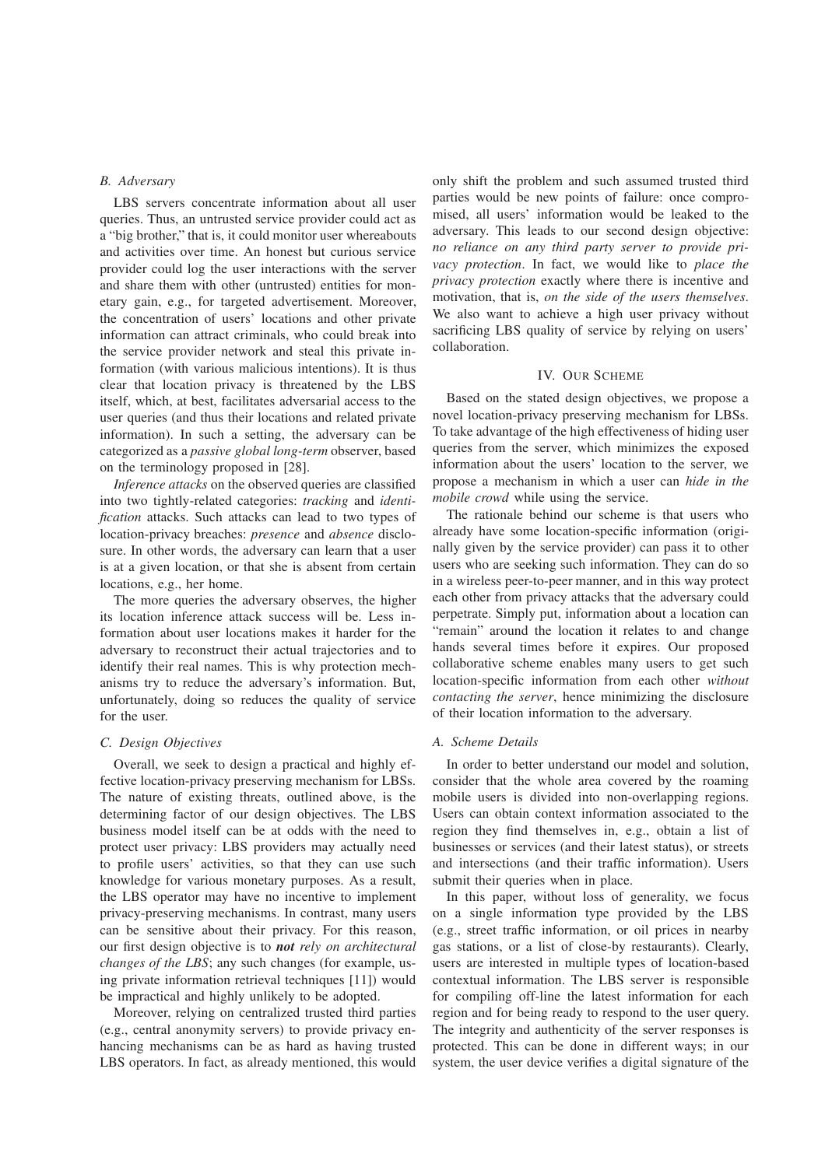# *B. Adversary*

LBS servers concentrate information about all user queries. Thus, an untrusted service provider could act as a "big brother," that is, it could monitor user whereabouts and activities over time. An honest but curious service provider could log the user interactions with the server and share them with other (untrusted) entities for monetary gain, e.g., for targeted advertisement. Moreover, the concentration of users' locations and other private information can attract criminals, who could break into the service provider network and steal this private information (with various malicious intentions). It is thus clear that location privacy is threatened by the LBS itself, which, at best, facilitates adversarial access to the user queries (and thus their locations and related private information). In such a setting, the adversary can be categorized as a *passive global long-term* observer, based on the terminology proposed in [28].

*Inference attacks* on the observed queries are classified into two tightly-related categories: *tracking* and *identification* attacks. Such attacks can lead to two types of location-privacy breaches: *presence* and *absence* disclosure. In other words, the adversary can learn that a user is at a given location, or that she is absent from certain locations, e.g., her home.

The more queries the adversary observes, the higher its location inference attack success will be. Less information about user locations makes it harder for the adversary to reconstruct their actual trajectories and to identify their real names. This is why protection mechanisms try to reduce the adversary's information. But, unfortunately, doing so reduces the quality of service for the user.

# *C. Design Objectives*

Overall, we seek to design a practical and highly effective location-privacy preserving mechanism for LBSs. The nature of existing threats, outlined above, is the determining factor of our design objectives. The LBS business model itself can be at odds with the need to protect user privacy: LBS providers may actually need to profile users' activities, so that they can use such knowledge for various monetary purposes. As a result, the LBS operator may have no incentive to implement privacy-preserving mechanisms. In contrast, many users can be sensitive about their privacy. For this reason, our first design objective is to *not rely on architectural changes of the LBS*; any such changes (for example, using private information retrieval techniques [11]) would be impractical and highly unlikely to be adopted.

Moreover, relying on centralized trusted third parties (e.g., central anonymity servers) to provide privacy enhancing mechanisms can be as hard as having trusted LBS operators. In fact, as already mentioned, this would only shift the problem and such assumed trusted third parties would be new points of failure: once compromised, all users' information would be leaked to the adversary. This leads to our second design objective: *no reliance on any third party server to provide privacy protection*. In fact, we would like to *place the privacy protection* exactly where there is incentive and motivation, that is, *on the side of the users themselves*. We also want to achieve a high user privacy without sacrificing LBS quality of service by relying on users' collaboration.

# IV. OUR SCHEME

Based on the stated design objectives, we propose a novel location-privacy preserving mechanism for LBSs. To take advantage of the high effectiveness of hiding user queries from the server, which minimizes the exposed information about the users' location to the server, we propose a mechanism in which a user can *hide in the mobile crowd* while using the service.

The rationale behind our scheme is that users who already have some location-specific information (originally given by the service provider) can pass it to other users who are seeking such information. They can do so in a wireless peer-to-peer manner, and in this way protect each other from privacy attacks that the adversary could perpetrate. Simply put, information about a location can "remain" around the location it relates to and change hands several times before it expires. Our proposed collaborative scheme enables many users to get such location-specific information from each other *without contacting the server*, hence minimizing the disclosure of their location information to the adversary.

# *A. Scheme Details*

In order to better understand our model and solution, consider that the whole area covered by the roaming mobile users is divided into non-overlapping regions. Users can obtain context information associated to the region they find themselves in, e.g., obtain a list of businesses or services (and their latest status), or streets and intersections (and their traffic information). Users submit their queries when in place.

In this paper, without loss of generality, we focus on a single information type provided by the LBS (e.g., street traffic information, or oil prices in nearby gas stations, or a list of close-by restaurants). Clearly, users are interested in multiple types of location-based contextual information. The LBS server is responsible for compiling off-line the latest information for each region and for being ready to respond to the user query. The integrity and authenticity of the server responses is protected. This can be done in different ways; in our system, the user device verifies a digital signature of the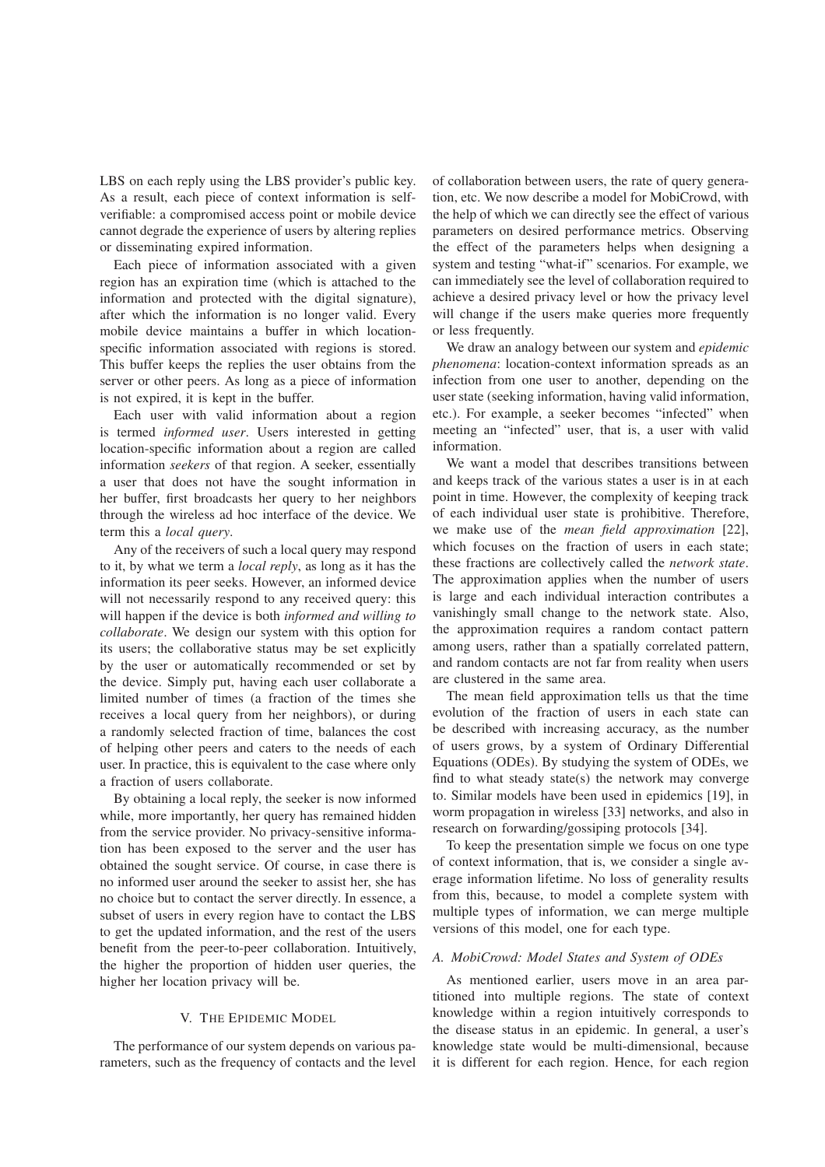LBS on each reply using the LBS provider's public key. As a result, each piece of context information is selfverifiable: a compromised access point or mobile device cannot degrade the experience of users by altering replies or disseminating expired information.

Each piece of information associated with a given region has an expiration time (which is attached to the information and protected with the digital signature), after which the information is no longer valid. Every mobile device maintains a buffer in which locationspecific information associated with regions is stored. This buffer keeps the replies the user obtains from the server or other peers. As long as a piece of information is not expired, it is kept in the buffer.

Each user with valid information about a region is termed *informed user*. Users interested in getting location-specific information about a region are called information *seekers* of that region. A seeker, essentially a user that does not have the sought information in her buffer, first broadcasts her query to her neighbors through the wireless ad hoc interface of the device. We term this a *local query*.

Any of the receivers of such a local query may respond to it, by what we term a *local reply*, as long as it has the information its peer seeks. However, an informed device will not necessarily respond to any received query: this will happen if the device is both *informed and willing to collaborate*. We design our system with this option for its users; the collaborative status may be set explicitly by the user or automatically recommended or set by the device. Simply put, having each user collaborate a limited number of times (a fraction of the times she receives a local query from her neighbors), or during a randomly selected fraction of time, balances the cost of helping other peers and caters to the needs of each user. In practice, this is equivalent to the case where only a fraction of users collaborate.

By obtaining a local reply, the seeker is now informed while, more importantly, her query has remained hidden from the service provider. No privacy-sensitive information has been exposed to the server and the user has obtained the sought service. Of course, in case there is no informed user around the seeker to assist her, she has no choice but to contact the server directly. In essence, a subset of users in every region have to contact the LBS to get the updated information, and the rest of the users benefit from the peer-to-peer collaboration. Intuitively, the higher the proportion of hidden user queries, the higher her location privacy will be.

# V. THE EPIDEMIC MODEL

The performance of our system depends on various parameters, such as the frequency of contacts and the level of collaboration between users, the rate of query generation, etc. We now describe a model for MobiCrowd, with the help of which we can directly see the effect of various parameters on desired performance metrics. Observing the effect of the parameters helps when designing a system and testing "what-if" scenarios. For example, we can immediately see the level of collaboration required to achieve a desired privacy level or how the privacy level will change if the users make queries more frequently or less frequently.

We draw an analogy between our system and *epidemic phenomena*: location-context information spreads as an infection from one user to another, depending on the user state (seeking information, having valid information, etc.). For example, a seeker becomes "infected" when meeting an "infected" user, that is, a user with valid information.

We want a model that describes transitions between and keeps track of the various states a user is in at each point in time. However, the complexity of keeping track of each individual user state is prohibitive. Therefore, we make use of the *mean field approximation* [22], which focuses on the fraction of users in each state; these fractions are collectively called the *network state*. The approximation applies when the number of users is large and each individual interaction contributes a vanishingly small change to the network state. Also, the approximation requires a random contact pattern among users, rather than a spatially correlated pattern, and random contacts are not far from reality when users are clustered in the same area.

The mean field approximation tells us that the time evolution of the fraction of users in each state can be described with increasing accuracy, as the number of users grows, by a system of Ordinary Differential Equations (ODEs). By studying the system of ODEs, we find to what steady state(s) the network may converge to. Similar models have been used in epidemics [19], in worm propagation in wireless [33] networks, and also in research on forwarding/gossiping protocols [34].

To keep the presentation simple we focus on one type of context information, that is, we consider a single average information lifetime. No loss of generality results from this, because, to model a complete system with multiple types of information, we can merge multiple versions of this model, one for each type.

## *A. MobiCrowd: Model States and System of ODEs*

As mentioned earlier, users move in an area partitioned into multiple regions. The state of context knowledge within a region intuitively corresponds to the disease status in an epidemic. In general, a user's knowledge state would be multi-dimensional, because it is different for each region. Hence, for each region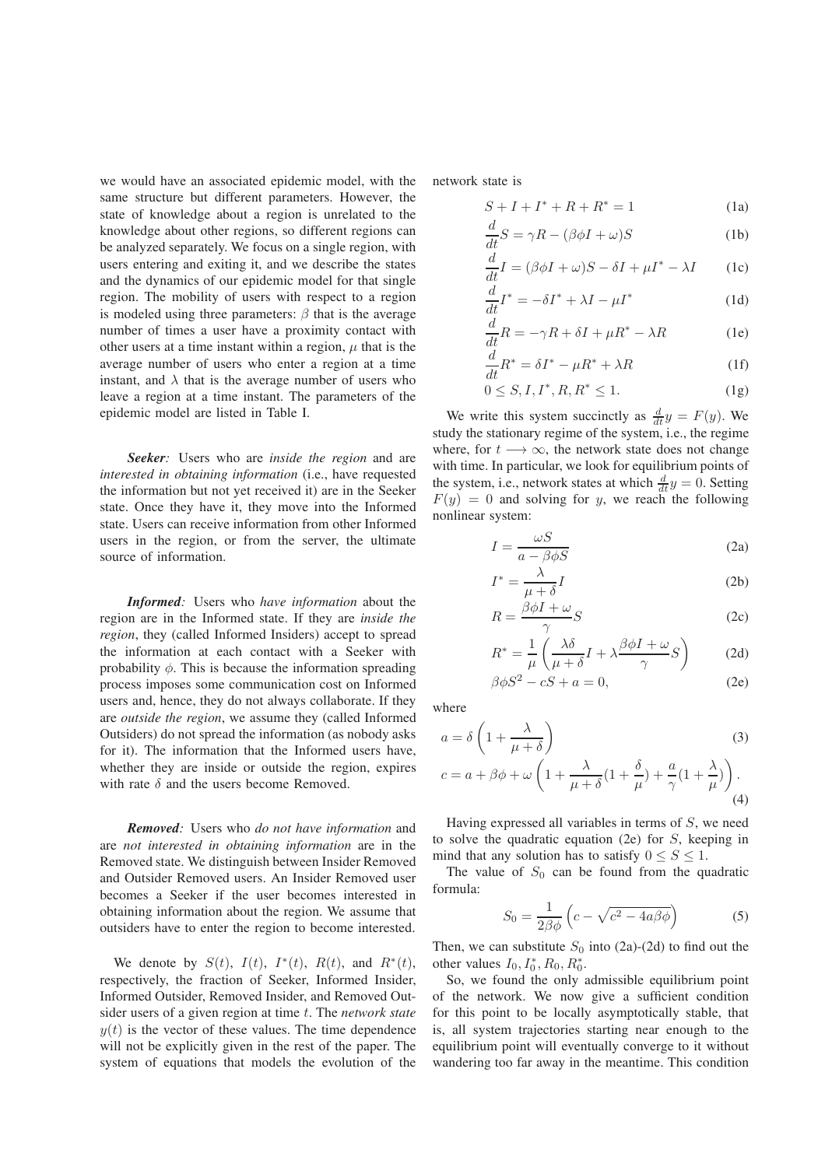we would have an associated epidemic model, with the same structure but different parameters. However, the state of knowledge about a region is unrelated to the knowledge about other regions, so different regions can be analyzed separately. We focus on a single region, with users entering and exiting it, and we describe the states and the dynamics of our epidemic model for that single region. The mobility of users with respect to a region is modeled using three parameters:  $\beta$  that is the average number of times a user have a proximity contact with other users at a time instant within a region,  $\mu$  that is the average number of users who enter a region at a time instant, and  $\lambda$  that is the average number of users who leave a region at a time instant. The parameters of the epidemic model are listed in Table I.

*Seeker:* Users who are *inside the region* and are *interested in obtaining information* (i.e., have requested the information but not yet received it) are in the Seeker state. Once they have it, they move into the Informed state. Users can receive information from other Informed users in the region, or from the server, the ultimate source of information.

*Informed:* Users who *have information* about the region are in the Informed state. If they are *inside the region*, they (called Informed Insiders) accept to spread the information at each contact with a Seeker with probability  $\phi$ . This is because the information spreading process imposes some communication cost on Informed users and, hence, they do not always collaborate. If they are *outside the region*, we assume they (called Informed Outsiders) do not spread the information (as nobody asks for it). The information that the Informed users have, whether they are inside or outside the region, expires with rate  $\delta$  and the users become Removed.

*Removed:* Users who *do not have information* and are *not interested in obtaining information* are in the Removed state. We distinguish between Insider Removed and Outsider Removed users. An Insider Removed user becomes a Seeker if the user becomes interested in obtaining information about the region. We assume that outsiders have to enter the region to become interested.

We denote by  $S(t)$ ,  $I(t)$ ,  $I^*(t)$ ,  $R(t)$ , and  $R^*(t)$ , respectively, the fraction of Seeker, Informed Insider, Informed Outsider, Removed Insider, and Removed Outsider users of a given region at time t. The *network state*  $y(t)$  is the vector of these values. The time dependence will not be explicitly given in the rest of the paper. The system of equations that models the evolution of the

network state is

$$
S + I + I^* + R + R^* = 1
$$
 (1a)

$$
\frac{d}{dt}S = \gamma R - (\beta \phi I + \omega)S\tag{1b}
$$

$$
\frac{d}{dt}I = (\beta \phi I + \omega)S - \delta I + \mu I^* - \lambda I \tag{1c}
$$

$$
\frac{d}{dt}I^* = -\delta I^* + \lambda I - \mu I^* \tag{1d}
$$

$$
\frac{d}{dt}R = -\gamma R + \delta I + \mu R^* - \lambda R \tag{1e}
$$

$$
\frac{d}{dt}R^* = \delta I^* - \mu R^* + \lambda R \tag{1f}
$$

$$
0 \le S, I, I^*, R, R^* \le 1. \tag{1g}
$$

We write this system succinctly as  $\frac{d}{dt}y = F(y)$ . We study the stationary regime of the system, i.e., the regime where, for  $t \rightarrow \infty$ , the network state does not change with time. In particular, we look for equilibrium points of the system, i.e., network states at which  $\frac{d}{dt}y = 0$ . Setting  $F(y) = 0$  and solving for y, we reach the following nonlinear system:

$$
I = \frac{\omega S}{a - \beta \phi S} \tag{2a}
$$

$$
I^* = \frac{\lambda}{\mu + \delta} I \tag{2b}
$$

$$
R = \frac{\beta \phi I + \omega}{\gamma} S \tag{2c}
$$

$$
R^* = \frac{1}{\mu} \left( \frac{\lambda \delta}{\mu + \delta} I + \lambda \frac{\beta \phi I + \omega}{\gamma} S \right) \tag{2d}
$$

$$
\beta \phi S^2 - cS + a = 0, \tag{2e}
$$

where

$$
a = \delta \left( 1 + \frac{\lambda}{\mu + \delta} \right)
$$
\n
$$
c = a + \beta \phi + \omega \left( 1 + \frac{\lambda}{\mu + \delta} (1 + \frac{\delta}{\mu}) + \frac{a}{\gamma} (1 + \frac{\lambda}{\mu}) \right).
$$
\n(3)\n(4)

Having expressed all variables in terms of  $S$ , we need to solve the quadratic equation (2e) for S, keeping in mind that any solution has to satisfy  $0 \leq S \leq 1$ .

The value of  $S_0$  can be found from the quadratic formula:

$$
S_0 = \frac{1}{2\beta\phi} \left( c - \sqrt{c^2 - 4a\beta\phi} \right) \tag{5}
$$

Then, we can substitute  $S_0$  into (2a)-(2d) to find out the other values  $I_0, I_0^*, R_0, R_0^*$ .

So, we found the only admissible equilibrium point of the network. We now give a sufficient condition for this point to be locally asymptotically stable, that is, all system trajectories starting near enough to the equilibrium point will eventually converge to it without wandering too far away in the meantime. This condition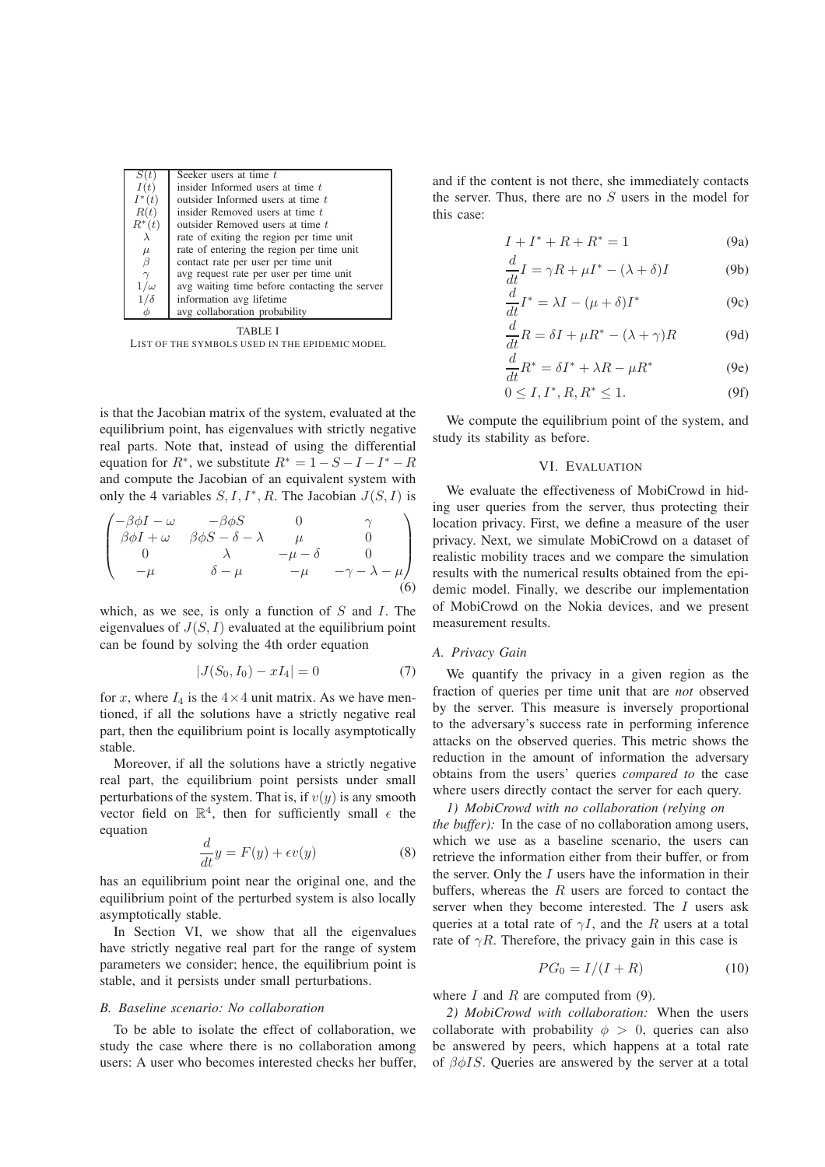| S(t)       | Seeker users at time t                        |
|------------|-----------------------------------------------|
| I(t)       | insider Informed users at time t              |
| $I^*(t)$   | outsider Informed users at time t             |
| R(t)       | insider Removed users at time t               |
| $R^*(t)$   | outsider Removed users at time t              |
| $\lambda$  | rate of exiting the region per time unit      |
| $\mu$      | rate of entering the region per time unit     |
| $\beta$    | contact rate per user per time unit           |
| $\gamma$   | avg request rate per user per time unit       |
| $1/\omega$ | avg waiting time before contacting the server |
|            | information avg lifetime                      |
|            | avg collaboration probability                 |
| TA RIF     |                                               |

LIST OF THE SYMBOLS USED IN THE EPIDEMIC MODEL

is that the Jacobian matrix of the system, evaluated at the equilibrium point, has eigenvalues with strictly negative real parts. Note that, instead of using the differential equation for  $R^*$ , we substitute  $R^* = 1 - S - I - I^* - R$ and compute the Jacobian of an equivalent system with only the 4 variables  $S, I, I^*, R$ . The Jacobian  $J(S, I)$  is

$$
\begin{pmatrix}\n-\beta\phi I - \omega & -\beta\phi S & 0 & \gamma \\
\beta\phi I + \omega & \beta\phi S - \delta - \lambda & \mu & 0 \\
0 & \lambda & -\mu - \delta & 0 \\
-\mu & \delta - \mu & -\mu & -\gamma - \lambda - \mu\n\end{pmatrix}
$$
\n(6)

which, as we see, is only a function of  $S$  and  $I$ . The eigenvalues of  $J(S, I)$  evaluated at the equilibrium point can be found by solving the 4th order equation

$$
|J(S_0, I_0) - xI_4| = 0 \tag{7}
$$

for x, where  $I_4$  is the  $4 \times 4$  unit matrix. As we have mentioned, if all the solutions have a strictly negative real part, then the equilibrium point is locally asymptotically stable.

Moreover, if all the solutions have a strictly negative real part, the equilibrium point persists under small perturbations of the system. That is, if  $v(y)$  is any smooth vector field on  $\mathbb{R}^4$ , then for sufficiently small  $\epsilon$  the equation

$$
\frac{d}{dt}y = F(y) + \epsilon v(y) \tag{8}
$$

has an equilibrium point near the original one, and the equilibrium point of the perturbed system is also locally asymptotically stable.

In Section VI, we show that all the eigenvalues have strictly negative real part for the range of system parameters we consider; hence, the equilibrium point is stable, and it persists under small perturbations.

# *B. Baseline scenario: No collaboration*

To be able to isolate the effect of collaboration, we study the case where there is no collaboration among users: A user who becomes interested checks her buffer, and if the content is not there, she immediately contacts the server. Thus, there are no  $S$  users in the model for this case:

$$
I + I^* + R + R^* = 1
$$
 (9a)

$$
\frac{d}{dt}I = \gamma R + \mu I^* - (\lambda + \delta)I
$$
 (9b)

$$
\frac{d}{dt}I^* = \lambda I - (\mu + \delta)I^*
$$
 (9c)

$$
\frac{d}{dt}R = \delta I + \mu R^* - (\lambda + \gamma)R
$$
 (9d)

$$
\frac{d}{dt}R^* = \delta I^* + \lambda R - \mu R^*
$$
 (9e)

$$
0 \le I, I^*, R, R^* \le 1. \tag{9f}
$$

We compute the equilibrium point of the system, and study its stability as before.

# VI. EVALUATION

We evaluate the effectiveness of MobiCrowd in hiding user queries from the server, thus protecting their location privacy. First, we define a measure of the user privacy. Next, we simulate MobiCrowd on a dataset of realistic mobility traces and we compare the simulation results with the numerical results obtained from the epidemic model. Finally, we describe our implementation of MobiCrowd on the Nokia devices, and we present measurement results.

#### *A. Privacy Gain*

We quantify the privacy in a given region as the fraction of queries per time unit that are *not* observed by the server. This measure is inversely proportional to the adversary's success rate in performing inference attacks on the observed queries. This metric shows the reduction in the amount of information the adversary obtains from the users' queries *compared to* the case where users directly contact the server for each query.

*1) MobiCrowd with no collaboration (relying on the buffer*): In the case of no collaboration among users, which we use as a baseline scenario, the users can retrieve the information either from their buffer, or from the server. Only the  $I$  users have the information in their buffers, whereas the  $R$  users are forced to contact the server when they become interested. The I users ask queries at a total rate of  $\gamma I$ , and the R users at a total rate of  $\gamma R$ . Therefore, the privacy gain in this case is

$$
PG_0 = I/(I+R)
$$
 (10)

# where  $I$  and  $R$  are computed from (9).

*2) MobiCrowd with collaboration:* When the users collaborate with probability  $\phi > 0$ , queries can also be answered by peers, which happens at a total rate of βφIS. Queries are answered by the server at a total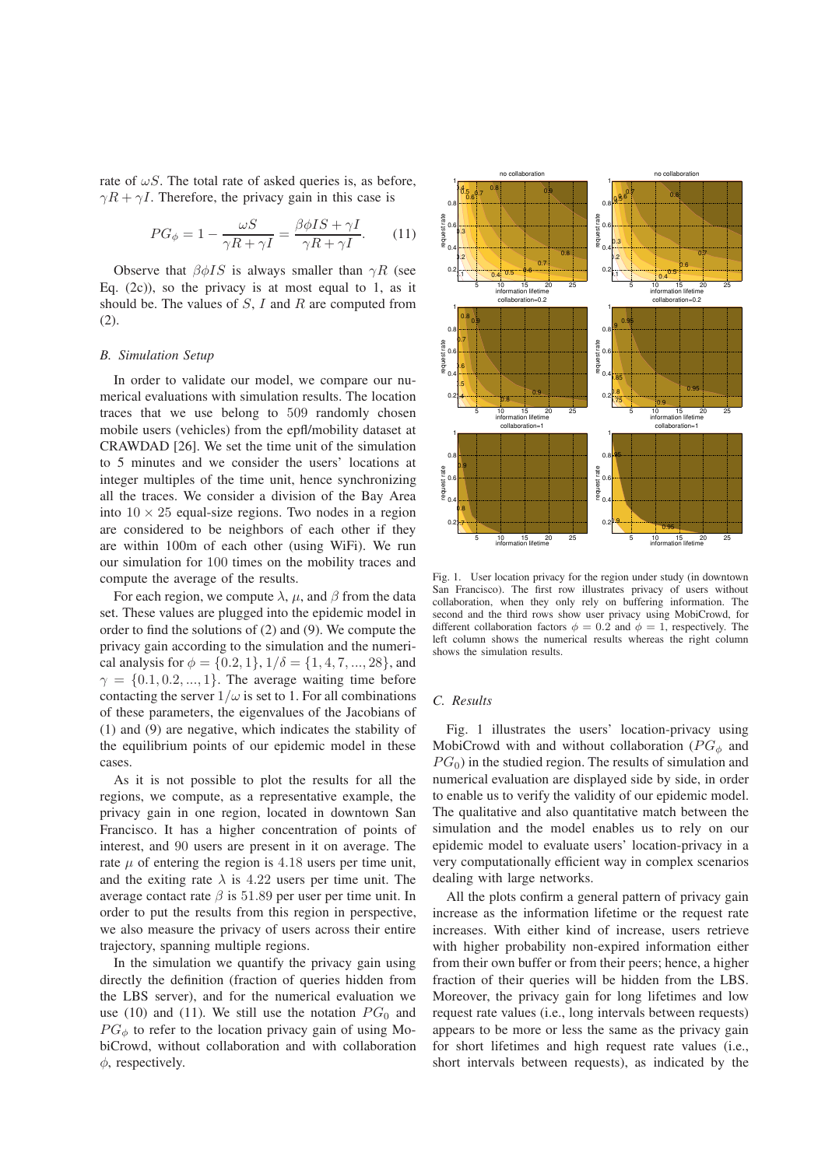rate of  $\omega S$ . The total rate of asked queries is, as before,  $\gamma R + \gamma I$ . Therefore, the privacy gain in this case is

$$
PG_{\phi} = 1 - \frac{\omega S}{\gamma R + \gamma I} = \frac{\beta \phi I S + \gamma I}{\gamma R + \gamma I}.
$$
 (11)

Observe that  $\beta \phi I S$  is always smaller than  $\gamma R$  (see Eq.  $(2c)$ , so the privacy is at most equal to 1, as it should be. The values of  $S$ ,  $I$  and  $R$  are computed from (2).

# *B. Simulation Setup*

In order to validate our model, we compare our numerical evaluations with simulation results. The location traces that we use belong to 509 randomly chosen mobile users (vehicles) from the epfl/mobility dataset at CRAWDAD [26]. We set the time unit of the simulation to 5 minutes and we consider the users' locations at integer multiples of the time unit, hence synchronizing all the traces. We consider a division of the Bay Area into  $10 \times 25$  equal-size regions. Two nodes in a region are considered to be neighbors of each other if they are within 100m of each other (using WiFi). We run our simulation for 100 times on the mobility traces and compute the average of the results.

For each region, we compute  $\lambda$ ,  $\mu$ , and  $\beta$  from the data set. These values are plugged into the epidemic model in order to find the solutions of (2) and (9). We compute the privacy gain according to the simulation and the numerical analysis for  $\phi = \{0.2, 1\}, 1/\delta = \{1, 4, 7, ..., 28\},$  and  $\gamma = \{0.1, 0.2, ..., 1\}$ . The average waiting time before contacting the server  $1/\omega$  is set to 1. For all combinations of these parameters, the eigenvalues of the Jacobians of (1) and (9) are negative, which indicates the stability of the equilibrium points of our epidemic model in these cases.

As it is not possible to plot the results for all the regions, we compute, as a representative example, the privacy gain in one region, located in downtown San Francisco. It has a higher concentration of points of interest, and 90 users are present in it on average. The rate  $\mu$  of entering the region is 4.18 users per time unit, and the exiting rate  $\lambda$  is 4.22 users per time unit. The average contact rate  $\beta$  is 51.89 per user per time unit. In order to put the results from this region in perspective, we also measure the privacy of users across their entire trajectory, spanning multiple regions.

In the simulation we quantify the privacy gain using directly the definition (fraction of queries hidden from the LBS server), and for the numerical evaluation we use (10) and (11). We still use the notation  $PG_0$  and  $PG_{\phi}$  to refer to the location privacy gain of using MobiCrowd, without collaboration and with collaboration  $\phi$ , respectively.



Fig. 1. User location privacy for the region under study (in downtown San Francisco). The first row illustrates privacy of users without collaboration, when they only rely on buffering information. The second and the third rows show user privacy using MobiCrowd, for different collaboration factors  $\phi = 0.2$  and  $\phi = 1$ , respectively. The left column shows the numerical results whereas the right column shows the simulation results.

#### *C. Results*

Fig. 1 illustrates the users' location-privacy using MobiCrowd with and without collaboration ( $PG_{\phi}$  and  $PG<sub>0</sub>$ ) in the studied region. The results of simulation and numerical evaluation are displayed side by side, in order to enable us to verify the validity of our epidemic model. The qualitative and also quantitative match between the simulation and the model enables us to rely on our epidemic model to evaluate users' location-privacy in a very computationally efficient way in complex scenarios dealing with large networks.

All the plots confirm a general pattern of privacy gain increase as the information lifetime or the request rate increases. With either kind of increase, users retrieve with higher probability non-expired information either from their own buffer or from their peers; hence, a higher fraction of their queries will be hidden from the LBS. Moreover, the privacy gain for long lifetimes and low request rate values (i.e., long intervals between requests) appears to be more or less the same as the privacy gain for short lifetimes and high request rate values (i.e., short intervals between requests), as indicated by the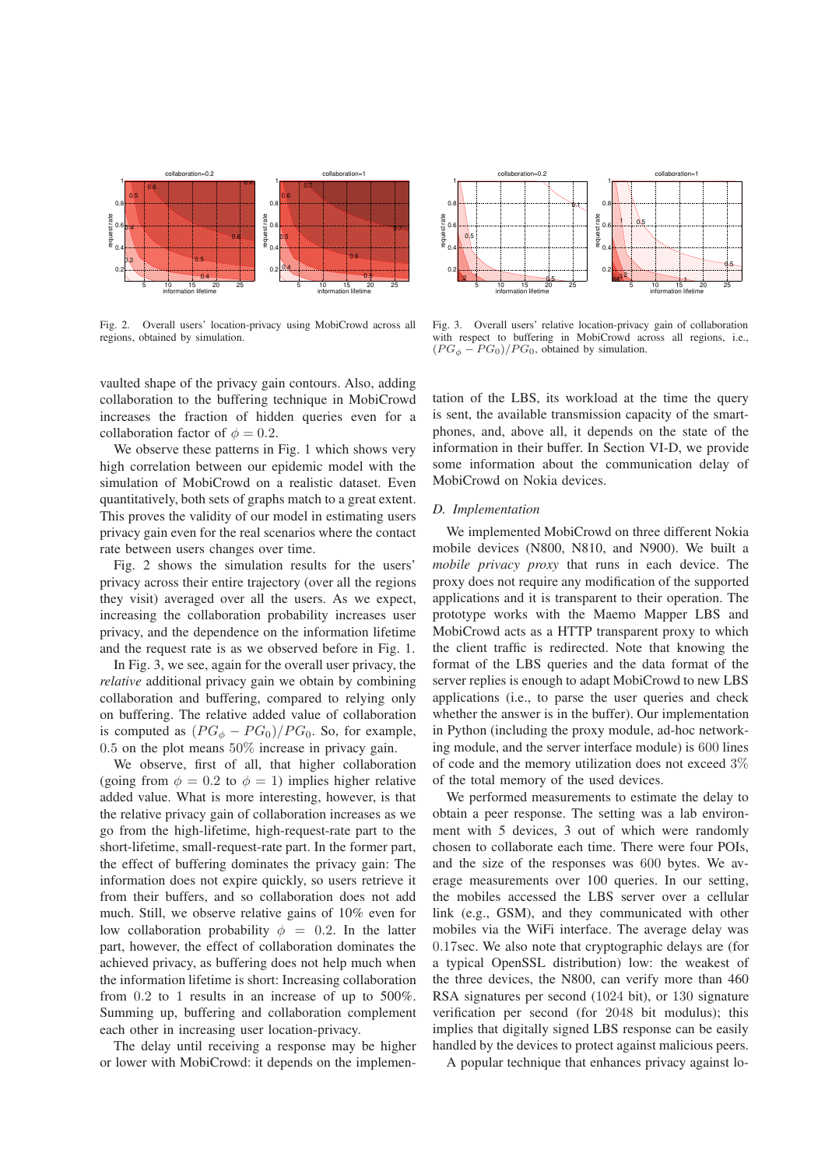

Fig. 2. Overall users' location-privacy using MobiCrowd across all regions, obtained by simulation.

vaulted shape of the privacy gain contours. Also, adding collaboration to the buffering technique in MobiCrowd increases the fraction of hidden queries even for a collaboration factor of  $\phi = 0.2$ .

We observe these patterns in Fig. 1 which shows very high correlation between our epidemic model with the simulation of MobiCrowd on a realistic dataset. Even quantitatively, both sets of graphs match to a great extent. This proves the validity of our model in estimating users privacy gain even for the real scenarios where the contact rate between users changes over time.

Fig. 2 shows the simulation results for the users' privacy across their entire trajectory (over all the regions they visit) averaged over all the users. As we expect, increasing the collaboration probability increases user privacy, and the dependence on the information lifetime and the request rate is as we observed before in Fig. 1.

In Fig. 3, we see, again for the overall user privacy, the *relative* additional privacy gain we obtain by combining collaboration and buffering, compared to relying only on buffering. The relative added value of collaboration is computed as  $(PG_{\phi} - PG_0)/PG_0$ . So, for example, 0.5 on the plot means 50% increase in privacy gain.

We observe, first of all, that higher collaboration (going from  $\phi = 0.2$  to  $\phi = 1$ ) implies higher relative added value. What is more interesting, however, is that the relative privacy gain of collaboration increases as we go from the high-lifetime, high-request-rate part to the short-lifetime, small-request-rate part. In the former part, the effect of buffering dominates the privacy gain: The information does not expire quickly, so users retrieve it from their buffers, and so collaboration does not add much. Still, we observe relative gains of 10% even for low collaboration probability  $\phi = 0.2$ . In the latter part, however, the effect of collaboration dominates the achieved privacy, as buffering does not help much when the information lifetime is short: Increasing collaboration from 0.2 to 1 results in an increase of up to 500%. Summing up, buffering and collaboration complement each other in increasing user location-privacy.

The delay until receiving a response may be higher or lower with MobiCrowd: it depends on the implemen-



Fig. 3. Overall users' relative location-privacy gain of collaboration with respect to buffering in MobiCrowd across all regions, i.e.,  $(P G_{\phi} - P G_0)/P G_0$ , obtained by simulation.

tation of the LBS, its workload at the time the query is sent, the available transmission capacity of the smartphones, and, above all, it depends on the state of the information in their buffer. In Section VI-D, we provide some information about the communication delay of MobiCrowd on Nokia devices.

# *D. Implementation*

We implemented MobiCrowd on three different Nokia mobile devices (N800, N810, and N900). We built a *mobile privacy proxy* that runs in each device. The proxy does not require any modification of the supported applications and it is transparent to their operation. The prototype works with the Maemo Mapper LBS and MobiCrowd acts as a HTTP transparent proxy to which the client traffic is redirected. Note that knowing the format of the LBS queries and the data format of the server replies is enough to adapt MobiCrowd to new LBS applications (i.e., to parse the user queries and check whether the answer is in the buffer). Our implementation in Python (including the proxy module, ad-hoc networking module, and the server interface module) is 600 lines of code and the memory utilization does not exceed 3% of the total memory of the used devices.

We performed measurements to estimate the delay to obtain a peer response. The setting was a lab environment with 5 devices, 3 out of which were randomly chosen to collaborate each time. There were four POIs, and the size of the responses was 600 bytes. We average measurements over 100 queries. In our setting, the mobiles accessed the LBS server over a cellular link (e.g., GSM), and they communicated with other mobiles via the WiFi interface. The average delay was 0.17sec. We also note that cryptographic delays are (for a typical OpenSSL distribution) low: the weakest of the three devices, the N800, can verify more than 460 RSA signatures per second (1024 bit), or 130 signature verification per second (for 2048 bit modulus); this implies that digitally signed LBS response can be easily handled by the devices to protect against malicious peers.

A popular technique that enhances privacy against lo-